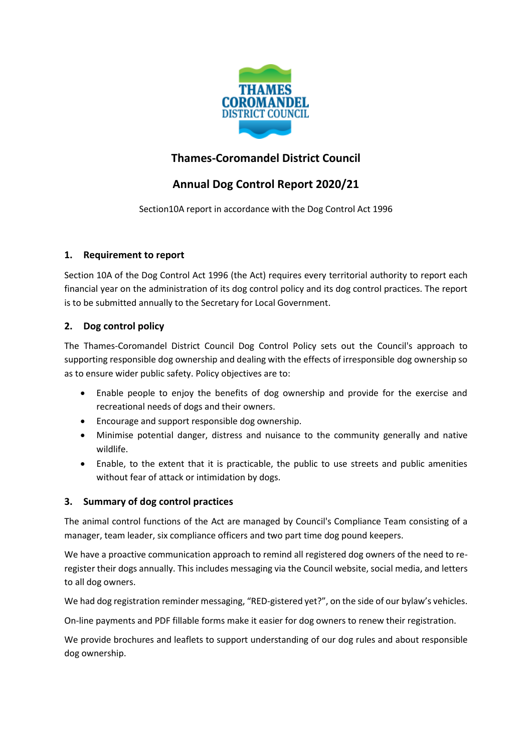

## **Thames-Coromandel District Council**

# **Annual Dog Control Report 2020/21**

Section10A report in accordance with the Dog Control Act 1996

## **1. Requirement to report**

Section 10A of the Dog Control Act 1996 (the Act) requires every territorial authority to report each financial year on the administration of its dog control policy and its dog control practices. The report is to be submitted annually to the Secretary for Local Government.

## **2. Dog control policy**

The Thames-Coromandel District Council Dog Control Policy sets out the Council's approach to supporting responsible dog ownership and dealing with the effects of irresponsible dog ownership so as to ensure wider public safety. Policy objectives are to:

- Enable people to enjoy the benefits of dog ownership and provide for the exercise and recreational needs of dogs and their owners.
- Encourage and support responsible dog ownership.
- Minimise potential danger, distress and nuisance to the community generally and native wildlife.
- Enable, to the extent that it is practicable, the public to use streets and public amenities without fear of attack or intimidation by dogs.

## **3. Summary of dog control practices**

The animal control functions of the Act are managed by Council's Compliance Team consisting of a manager, team leader, six compliance officers and two part time dog pound keepers.

We have a proactive communication approach to remind all registered dog owners of the need to reregister their dogs annually. This includes messaging via the Council website, social media, and letters to all dog owners.

We had dog registration reminder messaging, "RED-gistered yet?", on the side of our bylaw's vehicles.

On-line payments and PDF fillable forms make it easier for dog owners to renew their registration.

We provide brochures and leaflets to support understanding of our dog rules and about responsible dog ownership.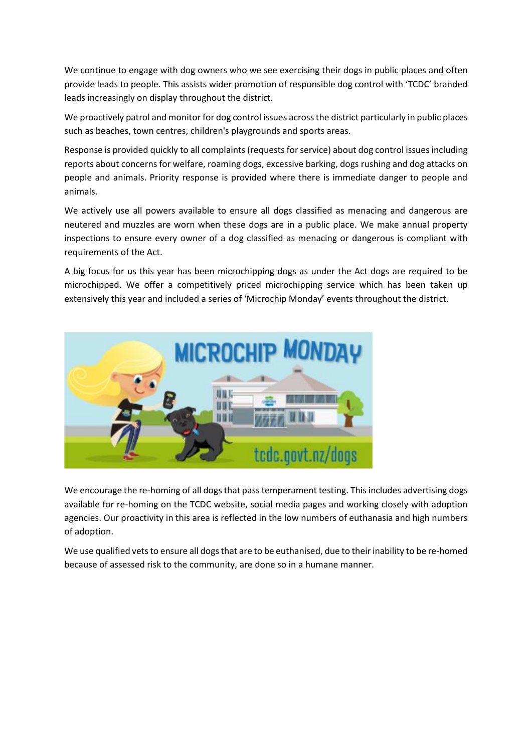We continue to engage with dog owners who we see exercising their dogs in public places and often provide leads to people. This assists wider promotion of responsible dog control with 'TCDC' branded leads increasingly on display throughout the district.

We proactively patrol and monitor for dog control issues across the district particularly in public places such as beaches, town centres, children's playgrounds and sports areas.

Response is provided quickly to all complaints (requests for service) about dog control issues including reports about concerns for welfare, roaming dogs, excessive barking, dogs rushing and dog attacks on people and animals. Priority response is provided where there is immediate danger to people and animals.

We actively use all powers available to ensure all dogs classified as menacing and dangerous are neutered and muzzles are worn when these dogs are in a public place. We make annual property inspections to ensure every owner of a dog classified as menacing or dangerous is compliant with requirements of the Act.

A big focus for us this year has been microchipping dogs as under the Act dogs are required to be microchipped. We offer a competitively priced microchipping service which has been taken up extensively this year and included a series of 'Microchip Monday' events throughout the district.



We encourage the re-homing of all dogs that pass temperament testing. This includes advertising dogs available for re-homing on the TCDC website, social media pages and working closely with adoption agencies. Our proactivity in this area is reflected in the low numbers of euthanasia and high numbers of adoption.

We use qualified vets to ensure all dogs that are to be euthanised, due to their inability to be re-homed because of assessed risk to the community, are done so in a humane manner.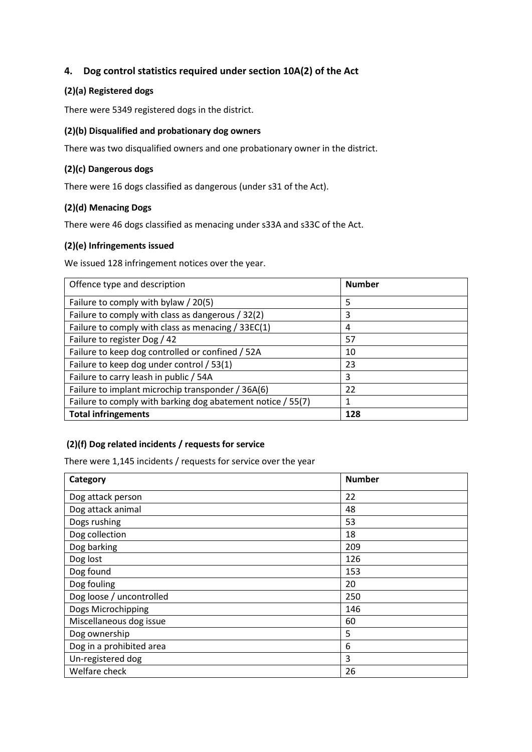## **4. Dog control statistics required under section 10A(2) of the Act**

#### **(2)(a) Registered dogs**

There were 5349 registered dogs in the district.

#### **(2)(b) Disqualified and probationary dog owners**

There was two disqualified owners and one probationary owner in the district.

#### **(2)(c) Dangerous dogs**

There were 16 dogs classified as dangerous (under s31 of the Act).

#### **(2)(d) Menacing Dogs**

There were 46 dogs classified as menacing under s33A and s33C of the Act.

#### **(2)(e) Infringements issued**

We issued 128 infringement notices over the year.

| Offence type and description                                | <b>Number</b> |
|-------------------------------------------------------------|---------------|
| Failure to comply with bylaw / 20(5)                        | 5             |
| Failure to comply with class as dangerous / 32(2)           | 3             |
| Failure to comply with class as menacing / 33EC(1)          | 4             |
| Failure to register Dog / 42                                | 57            |
| Failure to keep dog controlled or confined / 52A            | 10            |
| Failure to keep dog under control / 53(1)                   | 23            |
| Failure to carry leash in public / 54A                      | 3             |
| Failure to implant microchip transponder / 36A(6)           | 22            |
| Failure to comply with barking dog abatement notice / 55(7) | 1             |
| <b>Total infringements</b>                                  | 128           |

#### **(2)(f) Dog related incidents / requests for service**

There were 1,145 incidents / requests for service over the year

| Category                 | <b>Number</b> |
|--------------------------|---------------|
| Dog attack person        | 22            |
| Dog attack animal        | 48            |
| Dogs rushing             | 53            |
| Dog collection           | 18            |
| Dog barking              | 209           |
| Dog lost                 | 126           |
| Dog found                | 153           |
| Dog fouling              | 20            |
| Dog loose / uncontrolled | 250           |
| Dogs Microchipping       | 146           |
| Miscellaneous dog issue  | 60            |
| Dog ownership            | 5             |
| Dog in a prohibited area | 6             |
| Un-registered dog        | 3             |
| Welfare check            | 26            |